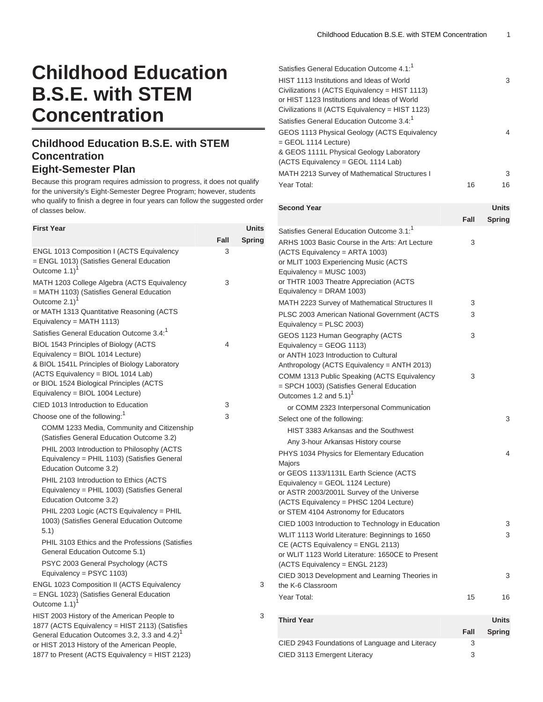## **Childhood Education B.S.E. with STEM Concentration**

## **Childhood Education B.S.E. with STEM Concentration Eight-Semester Plan**

Because this program requires admission to progress, it does not qualify for the university's Eight-Semester Degree Program; however, students who qualify to finish a degree in four years can follow the suggested order of classes below.

| <b>First Year</b>                                                                                                                                                                                                                                        |      | <b>Units</b>  |
|----------------------------------------------------------------------------------------------------------------------------------------------------------------------------------------------------------------------------------------------------------|------|---------------|
|                                                                                                                                                                                                                                                          | Fall | <b>Spring</b> |
| ENGL 1013 Composition I (ACTS Equivalency<br>= ENGL 1013) (Satisfies General Education<br>Outcome 1.1)                                                                                                                                                   | 3    |               |
| MATH 1203 College Algebra (ACTS Equivalency<br>= MATH 1103) (Satisfies General Education<br>Outcome $2.1$ ) <sup>1</sup><br>or MATH 1313 Quantitative Reasoning (ACTS                                                                                    | 3    |               |
| Equivalency = MATH 1113)<br>Satisfies General Education Outcome 3.4: <sup>1</sup>                                                                                                                                                                        |      |               |
| BIOL 1543 Principles of Biology (ACTS<br>Equivalency = BIOL 1014 Lecture)<br>& BIOL 1541L Principles of Biology Laboratory<br>(ACTS Equivalency = BIOL 1014 Lab)<br>or BIOL 1524 Biological Principles (ACTS                                             | 4    |               |
| Equivalency = BIOL 1004 Lecture)<br>CIED 1013 Introduction to Education                                                                                                                                                                                  | 3    |               |
| Choose one of the following: <sup>1</sup>                                                                                                                                                                                                                | 3    |               |
| COMM 1233 Media, Community and Citizenship<br>(Satisfies General Education Outcome 3.2)<br>PHIL 2003 Introduction to Philosophy (ACTS<br>Equivalency = PHIL 1103) (Satisfies General<br>Education Outcome 3.2)<br>PHIL 2103 Introduction to Ethics (ACTS |      |               |
| Equivalency = PHIL 1003) (Satisfies General<br>Education Outcome 3.2)                                                                                                                                                                                    |      |               |
| PHIL 2203 Logic (ACTS Equivalency = PHIL<br>1003) (Satisfies General Education Outcome<br>5.1)                                                                                                                                                           |      |               |
| PHIL 3103 Ethics and the Professions (Satisfies<br>General Education Outcome 5.1)                                                                                                                                                                        |      |               |
| PSYC 2003 General Psychology (ACTS<br>Equivalency = PSYC 1103)                                                                                                                                                                                           |      |               |
| ENGL 1023 Composition II (ACTS Equivalency<br>= ENGL 1023) (Satisfies General Education<br>Outcome 1.1) <sup>1</sup>                                                                                                                                     |      | 3             |
| HIST 2003 History of the American People to<br>1877 (ACTS Equivalency = HIST 2113) (Satisfies<br>General Education Outcomes 3.2, 3.3 and 4.2) <sup>1</sup><br>or HIST 2013 History of the American People,                                               |      | 3             |

1877 to Present (ACTS Equivalency = HIST 2123)

| Satisfies General Education Outcome 4.1: <sup>1</sup> |    |    |
|-------------------------------------------------------|----|----|
| HIST 1113 Institutions and Ideas of World             |    | 3  |
| Civilizations I (ACTS Equivalency = HIST 1113)        |    |    |
| or HIST 1123 Institutions and Ideas of World          |    |    |
| Civilizations II (ACTS Equivalency = HIST 1123)       |    |    |
| Satisfies General Education Outcome 3.4: <sup>1</sup> |    |    |
| GEOS 1113 Physical Geology (ACTS Equivalency          |    | 4  |
| = GEOL 1114 Lecture)                                  |    |    |
| & GEOS 1111L Physical Geology Laboratory              |    |    |
| (ACTS Equivalency = GEOL 1114 Lab)                    |    |    |
| MATH 2213 Survey of Mathematical Structures I         |    | 3  |
| Year Total:                                           | 16 | 16 |

| <b>Second Year</b>                                                                                                                                                                                                                                                |       | Units         |
|-------------------------------------------------------------------------------------------------------------------------------------------------------------------------------------------------------------------------------------------------------------------|-------|---------------|
|                                                                                                                                                                                                                                                                   | Fall  | <b>Spring</b> |
| Satisfies General Education Outcome 3.1: <sup>1</sup>                                                                                                                                                                                                             |       |               |
| ARHS 1003 Basic Course in the Arts: Art Lecture<br>(ACTS Equivalency = ARTA 1003)<br>or MLIT 1003 Experiencing Music (ACTS<br>Equivalency = MUSC 1003)<br>or THTR 1003 Theatre Appreciation (ACTS                                                                 | 3     |               |
| Equivalency = DRAM 1003)                                                                                                                                                                                                                                          |       |               |
| MATH 2223 Survey of Mathematical Structures II                                                                                                                                                                                                                    | 3     |               |
| PLSC 2003 American National Government (ACTS<br>Equivalency = PLSC 2003)                                                                                                                                                                                          | 3     |               |
| GEOS 1123 Human Geography (ACTS<br>Equivalency = GEOG 1113)                                                                                                                                                                                                       | 3     |               |
| or ANTH 1023 Introduction to Cultural<br>Anthropology (ACTS Equivalency = ANTH 2013)                                                                                                                                                                              |       |               |
| COMM 1313 Public Speaking (ACTS Equivalency<br>= SPCH 1003) (Satisfies General Education<br>Outcomes 1.2 and 5.1) <sup>1</sup>                                                                                                                                    | 3     |               |
| or COMM 2323 Interpersonal Communication                                                                                                                                                                                                                          |       |               |
| Select one of the following:                                                                                                                                                                                                                                      |       | 3             |
| HIST 3383 Arkansas and the Southwest                                                                                                                                                                                                                              |       |               |
| Any 3-hour Arkansas History course                                                                                                                                                                                                                                |       |               |
| PHYS 1034 Physics for Elementary Education<br>Majors<br>or GEOS 1133/1131L Earth Science (ACTS<br>Equivalency = GEOL 1124 Lecture)<br>or ASTR 2003/2001L Survey of the Universe<br>(ACTS Equivalency = PHSC 1204 Lecture)<br>or STEM 4104 Astronomy for Educators |       | 4             |
| CIED 1003 Introduction to Technology in Education                                                                                                                                                                                                                 |       | 3             |
| WLIT 1113 World Literature: Beginnings to 1650<br>$CE$ (ACTS Equivalency = ENGL 2113)<br>or WLIT 1123 World Literature: 1650CE to Present<br>(ACTS Equivalency = ENGL 2123)                                                                                       |       | 3             |
| CIED 3013 Development and Learning Theories in<br>the K-6 Classroom                                                                                                                                                                                               |       | 3             |
| Year Total:                                                                                                                                                                                                                                                       | 15    | 16            |
| <b>Third Year</b>                                                                                                                                                                                                                                                 |       | Units         |
|                                                                                                                                                                                                                                                                   | -- 11 | 0.00000000    |

|                                                | Fall | <b>Spring</b> |
|------------------------------------------------|------|---------------|
| CIED 2943 Foundations of Language and Literacy |      |               |
| CIED 3113 Emergent Literacy                    |      |               |